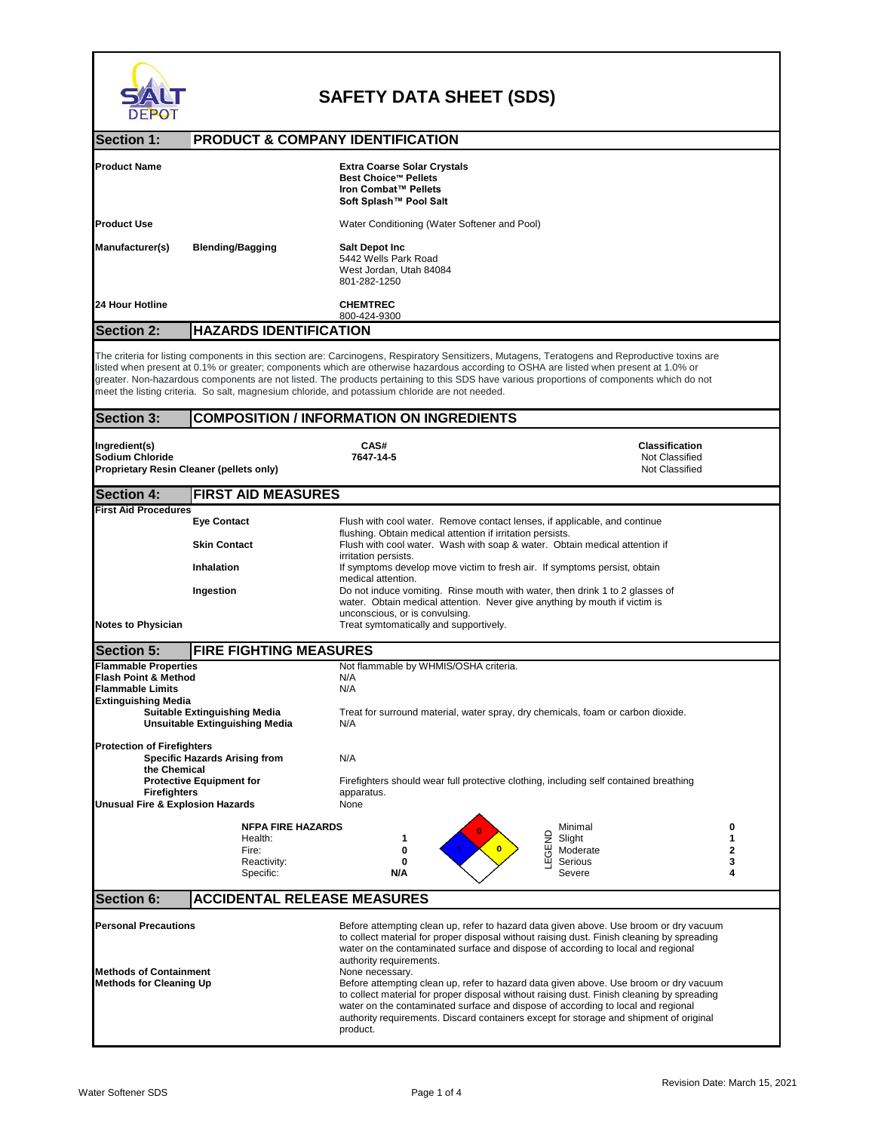

## **SAFETY DATA SHEET (SDS)**

| <b>DEPOT</b>                                                                                                                                                                                 |                                    |                                                                                                                                                                                                                                                                                                                                                                                                                                                                                                                                                                                                                                                                                                        |                                                           |        |
|----------------------------------------------------------------------------------------------------------------------------------------------------------------------------------------------|------------------------------------|--------------------------------------------------------------------------------------------------------------------------------------------------------------------------------------------------------------------------------------------------------------------------------------------------------------------------------------------------------------------------------------------------------------------------------------------------------------------------------------------------------------------------------------------------------------------------------------------------------------------------------------------------------------------------------------------------------|-----------------------------------------------------------|--------|
| <b>Section 1:</b>                                                                                                                                                                            | PRODUCT & COMPANY IDENTIFICATION   |                                                                                                                                                                                                                                                                                                                                                                                                                                                                                                                                                                                                                                                                                                        |                                                           |        |
| <b>Product Name</b>                                                                                                                                                                          |                                    | <b>Extra Coarse Solar Crystals</b><br><b>Best Choice™ Pellets</b><br>Iron Combat™ Pellets<br>Soft Splash™ Pool Salt                                                                                                                                                                                                                                                                                                                                                                                                                                                                                                                                                                                    |                                                           |        |
| <b>Product Use</b>                                                                                                                                                                           |                                    | Water Conditioning (Water Softener and Pool)                                                                                                                                                                                                                                                                                                                                                                                                                                                                                                                                                                                                                                                           |                                                           |        |
| Manufacturer(s)                                                                                                                                                                              | <b>Blending/Bagging</b>            | <b>Salt Depot Inc</b><br>5442 Wells Park Road<br>West Jordan, Utah 84084<br>801-282-1250                                                                                                                                                                                                                                                                                                                                                                                                                                                                                                                                                                                                               |                                                           |        |
| 24 Hour Hotline                                                                                                                                                                              |                                    | <b>CHEMTREC</b><br>800-424-9300                                                                                                                                                                                                                                                                                                                                                                                                                                                                                                                                                                                                                                                                        |                                                           |        |
| <b>Section 2:</b>                                                                                                                                                                            | <b>HAZARDS IDENTIFICATION</b>      |                                                                                                                                                                                                                                                                                                                                                                                                                                                                                                                                                                                                                                                                                                        |                                                           |        |
|                                                                                                                                                                                              |                                    | The criteria for listing components in this section are: Carcinogens, Respiratory Sensitizers, Mutagens, Teratogens and Reproductive toxins are<br>listed when present at 0.1% or greater; components which are otherwise hazardous according to OSHA are listed when present at 1.0% or<br>greater. Non-hazardous components are not listed. The products pertaining to this SDS have various proportions of components which do not<br>meet the listing criteria. So salt, magnesium chloride, and potassium chloride are not needed.                                                                                                                                                                |                                                           |        |
| <b>Section 3:</b>                                                                                                                                                                            |                                    | <b>COMPOSITION / INFORMATION ON INGREDIENTS</b>                                                                                                                                                                                                                                                                                                                                                                                                                                                                                                                                                                                                                                                        |                                                           |        |
| Ingredient(s)<br><b>Sodium Chloride</b><br><b>Proprietary Resin Cleaner (pellets only)</b>                                                                                                   |                                    | CAS#<br>7647-14-5                                                                                                                                                                                                                                                                                                                                                                                                                                                                                                                                                                                                                                                                                      | <b>Classification</b><br>Not Classified<br>Not Classified |        |
| <b>Section 4:</b>                                                                                                                                                                            | <b>FIRST AID MEASURES</b>          |                                                                                                                                                                                                                                                                                                                                                                                                                                                                                                                                                                                                                                                                                                        |                                                           |        |
| <b>First Aid Procedures</b>                                                                                                                                                                  | <b>Eye Contact</b>                 | Flush with cool water. Remove contact lenses, if applicable, and continue                                                                                                                                                                                                                                                                                                                                                                                                                                                                                                                                                                                                                              |                                                           |        |
|                                                                                                                                                                                              | <b>Skin Contact</b>                | flushing. Obtain medical attention if irritation persists.<br>Flush with cool water. Wash with soap & water. Obtain medical attention if                                                                                                                                                                                                                                                                                                                                                                                                                                                                                                                                                               |                                                           |        |
|                                                                                                                                                                                              | <b>Inhalation</b>                  | irritation persists.<br>If symptoms develop move victim to fresh air. If symptoms persist, obtain                                                                                                                                                                                                                                                                                                                                                                                                                                                                                                                                                                                                      |                                                           |        |
|                                                                                                                                                                                              | Ingestion                          | medical attention.<br>Do not induce vomiting. Rinse mouth with water, then drink 1 to 2 glasses of<br>water. Obtain medical attention. Never give anything by mouth if victim is<br>unconscious, or is convulsing.                                                                                                                                                                                                                                                                                                                                                                                                                                                                                     |                                                           |        |
| <b>Notes to Physician</b>                                                                                                                                                                    |                                    | Treat symtomatically and supportively.                                                                                                                                                                                                                                                                                                                                                                                                                                                                                                                                                                                                                                                                 |                                                           |        |
| <b>Section 5:</b>                                                                                                                                                                            | <b>FIRE FIGHTING MEASURES</b>      |                                                                                                                                                                                                                                                                                                                                                                                                                                                                                                                                                                                                                                                                                                        |                                                           |        |
| <b>Flammable Properties</b><br>Flash Point & Method<br><b>Flammable Limits</b><br><b>Extinguishing Media</b><br><b>Suitable Extinguishing Media</b><br><b>Unsuitable Extinguishing Media</b> |                                    | Not flammable by WHMIS/OSHA criteria.<br>N/A<br>N/A<br>Treat for surround material, water spray, dry chemicals, foam or carbon dioxide.<br>N/A                                                                                                                                                                                                                                                                                                                                                                                                                                                                                                                                                         |                                                           |        |
| <b>Protection of Firefighters</b><br><b>Specific Hazards Arising from</b><br>the Chemical                                                                                                    |                                    | N/A                                                                                                                                                                                                                                                                                                                                                                                                                                                                                                                                                                                                                                                                                                    |                                                           |        |
| <b>Protective Equipment for</b><br><b>Firefighters</b><br><b>Unusual Fire &amp; Explosion Hazards</b>                                                                                        |                                    | Firefighters should wear full protective clothing, including self contained breathing<br>apparatus.<br>None                                                                                                                                                                                                                                                                                                                                                                                                                                                                                                                                                                                            |                                                           |        |
|                                                                                                                                                                                              | <b>NFPA FIRE HAZARDS</b>           |                                                                                                                                                                                                                                                                                                                                                                                                                                                                                                                                                                                                                                                                                                        | Minimal                                                   | 0      |
|                                                                                                                                                                                              | Health:<br>Fire:                   | <b>TEGEND</b><br>1<br>$\overline{0}$<br>0                                                                                                                                                                                                                                                                                                                                                                                                                                                                                                                                                                                                                                                              | Slight<br>Moderate                                        | 1<br>2 |
|                                                                                                                                                                                              | Reactivity:<br>Specific:           | 0<br>N/A                                                                                                                                                                                                                                                                                                                                                                                                                                                                                                                                                                                                                                                                                               | Serious<br>Severe                                         | 3<br>4 |
| <b>Section 6:</b>                                                                                                                                                                            | <b>ACCIDENTAL RELEASE MEASURES</b> |                                                                                                                                                                                                                                                                                                                                                                                                                                                                                                                                                                                                                                                                                                        |                                                           |        |
| <b>Personal Precautions</b><br><b>Methods of Containment</b><br><b>Methods for Cleaning Up</b>                                                                                               |                                    | Before attempting clean up, refer to hazard data given above. Use broom or dry vacuum<br>to collect material for proper disposal without raising dust. Finish cleaning by spreading<br>water on the contaminated surface and dispose of according to local and regional<br>authority requirements.<br>None necessary.<br>Before attempting clean up, refer to hazard data given above. Use broom or dry vacuum<br>to collect material for proper disposal without raising dust. Finish cleaning by spreading<br>water on the contaminated surface and dispose of according to local and regional<br>authority requirements. Discard containers except for storage and shipment of original<br>product. |                                                           |        |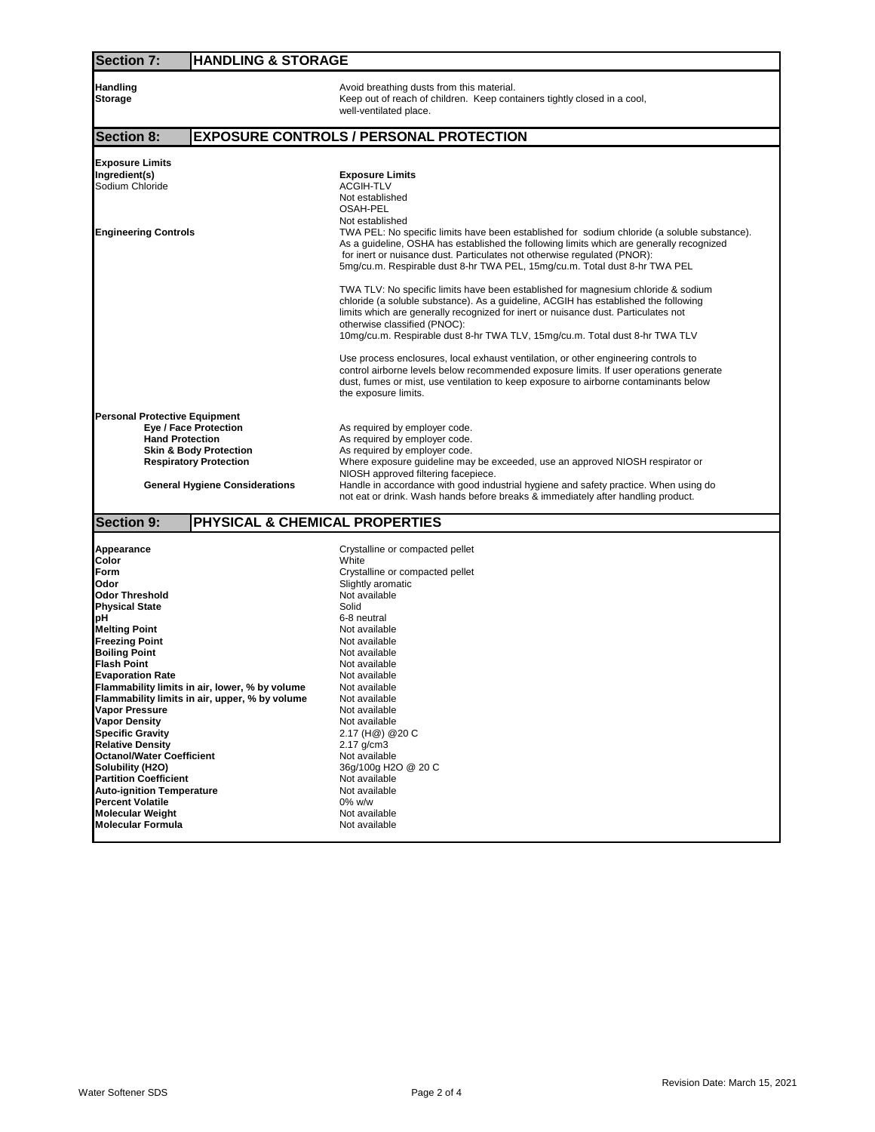| <b>Section 7:</b>                                                       | <b>HANDLING &amp; STORAGE</b>                                                                                                                                                                                                                                                                                                                                                 |  |  |  |  |
|-------------------------------------------------------------------------|-------------------------------------------------------------------------------------------------------------------------------------------------------------------------------------------------------------------------------------------------------------------------------------------------------------------------------------------------------------------------------|--|--|--|--|
| Handling<br>Storage                                                     | Avoid breathing dusts from this material.<br>Keep out of reach of children. Keep containers tightly closed in a cool,<br>well-ventilated place.                                                                                                                                                                                                                               |  |  |  |  |
| <b>Section 8:</b>                                                       | <b>EXPOSURE CONTROLS / PERSONAL PROTECTION</b>                                                                                                                                                                                                                                                                                                                                |  |  |  |  |
| <b>Exposure Limits</b><br>Ingredient(s)<br>Sodium Chloride              | <b>Exposure Limits</b><br><b>ACGIH-TLV</b><br>Not established<br>OSAH-PEL                                                                                                                                                                                                                                                                                                     |  |  |  |  |
| <b>Engineering Controls</b>                                             | Not established<br>TWA PEL: No specific limits have been established for sodium chloride (a soluble substance).<br>As a guideline, OSHA has established the following limits which are generally recognized<br>for inert or nuisance dust. Particulates not otherwise regulated (PNOR):<br>5mg/cu.m. Respirable dust 8-hr TWA PEL, 15mg/cu.m. Total dust 8-hr TWA PEL         |  |  |  |  |
|                                                                         | TWA TLV: No specific limits have been established for magnesium chloride & sodium<br>chloride (a soluble substance). As a guideline, ACGIH has established the following<br>limits which are generally recognized for inert or nuisance dust. Particulates not<br>otherwise classified (PNOC):<br>10mg/cu.m. Respirable dust 8-hr TWA TLV, 15mg/cu.m. Total dust 8-hr TWA TLV |  |  |  |  |
|                                                                         | Use process enclosures, local exhaust ventilation, or other engineering controls to<br>control airborne levels below recommended exposure limits. If user operations generate<br>dust, fumes or mist, use ventilation to keep exposure to airborne contaminants below<br>the exposure limits.                                                                                 |  |  |  |  |
| <b>Personal Protective Equipment</b>                                    |                                                                                                                                                                                                                                                                                                                                                                               |  |  |  |  |
| Eye / Face Protection                                                   | As required by employer code.                                                                                                                                                                                                                                                                                                                                                 |  |  |  |  |
| <b>Hand Protection</b><br><b>Skin &amp; Body Protection</b>             | As required by employer code.<br>As required by employer code.                                                                                                                                                                                                                                                                                                                |  |  |  |  |
| <b>Respiratory Protection</b>                                           | Where exposure guideline may be exceeded, use an approved NIOSH respirator or                                                                                                                                                                                                                                                                                                 |  |  |  |  |
| <b>General Hygiene Considerations</b>                                   | NIOSH approved filtering facepiece.<br>Handle in accordance with good industrial hygiene and safety practice. When using do<br>not eat or drink. Wash hands before breaks & immediately after handling product.                                                                                                                                                               |  |  |  |  |
| <b>Section 9:</b>                                                       | PHYSICAL & CHEMICAL PROPERTIES                                                                                                                                                                                                                                                                                                                                                |  |  |  |  |
| Appearance                                                              | Crystalline or compacted pellet                                                                                                                                                                                                                                                                                                                                               |  |  |  |  |
| Color                                                                   | White                                                                                                                                                                                                                                                                                                                                                                         |  |  |  |  |
| Form<br>Odor                                                            | Crystalline or compacted pellet                                                                                                                                                                                                                                                                                                                                               |  |  |  |  |
| Odor Threshold                                                          | Slightly aromatic<br>Not available                                                                                                                                                                                                                                                                                                                                            |  |  |  |  |
| <b>Physical State</b>                                                   | Solid                                                                                                                                                                                                                                                                                                                                                                         |  |  |  |  |
| рH                                                                      | 6-8 neutral                                                                                                                                                                                                                                                                                                                                                                   |  |  |  |  |
| <b>Melting Point</b>                                                    | Not available                                                                                                                                                                                                                                                                                                                                                                 |  |  |  |  |
| <b>Freezing Point</b><br><b>Boiling Point</b>                           | Not available<br>Not available                                                                                                                                                                                                                                                                                                                                                |  |  |  |  |
| <b>Flash Point</b>                                                      | Not available                                                                                                                                                                                                                                                                                                                                                                 |  |  |  |  |
| <b>Evaporation Rate</b>                                                 | Not available                                                                                                                                                                                                                                                                                                                                                                 |  |  |  |  |
| Flammability limits in air, lower, % by volume                          | Not available                                                                                                                                                                                                                                                                                                                                                                 |  |  |  |  |
| Flammability limits in air, upper, % by volume<br><b>Vapor Pressure</b> | Not available<br>Not available                                                                                                                                                                                                                                                                                                                                                |  |  |  |  |
| <b>Vapor Density</b>                                                    | Not available                                                                                                                                                                                                                                                                                                                                                                 |  |  |  |  |
| <b>Specific Gravity</b>                                                 | 2.17 (H@) @20 C                                                                                                                                                                                                                                                                                                                                                               |  |  |  |  |
| <b>Relative Density</b>                                                 | $2.17$ g/cm $3$                                                                                                                                                                                                                                                                                                                                                               |  |  |  |  |
| <b>Octanol/Water Coefficient</b><br>Solubility (H2O)                    | Not available<br>36g/100g H2O @ 20 C                                                                                                                                                                                                                                                                                                                                          |  |  |  |  |
| <b>Partition Coefficient</b>                                            | Not available                                                                                                                                                                                                                                                                                                                                                                 |  |  |  |  |
| <b>Auto-ignition Temperature</b>                                        | Not available                                                                                                                                                                                                                                                                                                                                                                 |  |  |  |  |
| <b>Percent Volatile</b>                                                 | 0% w/w                                                                                                                                                                                                                                                                                                                                                                        |  |  |  |  |
| <b>Molecular Weight</b><br>Molecular Formula                            | Not available<br>Not available                                                                                                                                                                                                                                                                                                                                                |  |  |  |  |
|                                                                         |                                                                                                                                                                                                                                                                                                                                                                               |  |  |  |  |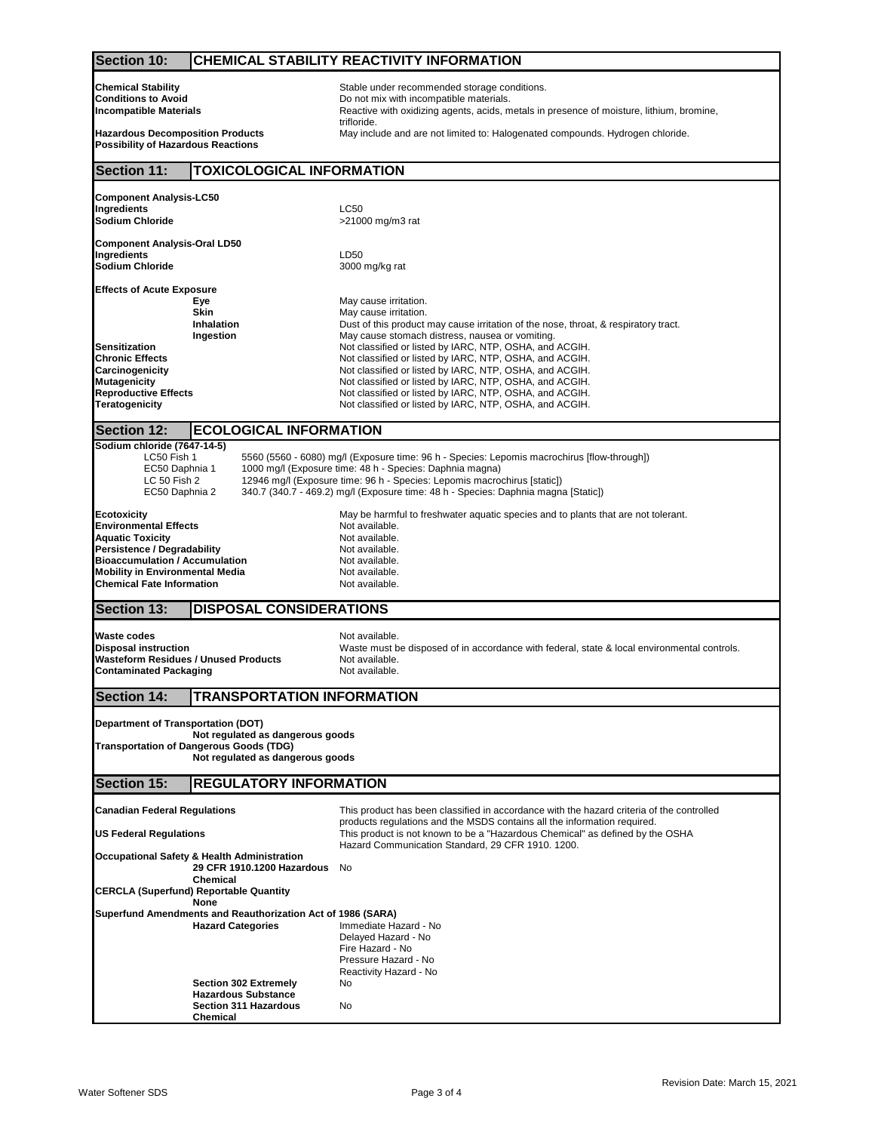| <b>Section 10:</b>                                                                                                                                                                                                                                                                                                                                                                                                          | <b>CHEMICAL STABILITY REACTIVITY INFORMATION</b>                                                                                |                                                                                                                                                                                                                                                                                                                                                                                                                                                                                                                                                            |  |  |  |
|-----------------------------------------------------------------------------------------------------------------------------------------------------------------------------------------------------------------------------------------------------------------------------------------------------------------------------------------------------------------------------------------------------------------------------|---------------------------------------------------------------------------------------------------------------------------------|------------------------------------------------------------------------------------------------------------------------------------------------------------------------------------------------------------------------------------------------------------------------------------------------------------------------------------------------------------------------------------------------------------------------------------------------------------------------------------------------------------------------------------------------------------|--|--|--|
| <b>Chemical Stability</b><br><b>Conditions to Avoid</b><br><b>Incompatible Materials</b>                                                                                                                                                                                                                                                                                                                                    |                                                                                                                                 | Stable under recommended storage conditions.<br>Do not mix with incompatible materials.<br>Reactive with oxidizing agents, acids, metals in presence of moisture, lithium, bromine,                                                                                                                                                                                                                                                                                                                                                                        |  |  |  |
| trifloride.<br><b>Hazardous Decomposition Products</b><br>May include and are not limited to: Halogenated compounds. Hydrogen chloride.<br><b>Possibility of Hazardous Reactions</b>                                                                                                                                                                                                                                        |                                                                                                                                 |                                                                                                                                                                                                                                                                                                                                                                                                                                                                                                                                                            |  |  |  |
| <b>Section 11:</b>                                                                                                                                                                                                                                                                                                                                                                                                          | <b>TOXICOLOGICAL INFORMATION</b>                                                                                                |                                                                                                                                                                                                                                                                                                                                                                                                                                                                                                                                                            |  |  |  |
| <b>Component Analysis-LC50</b>                                                                                                                                                                                                                                                                                                                                                                                              |                                                                                                                                 |                                                                                                                                                                                                                                                                                                                                                                                                                                                                                                                                                            |  |  |  |
| Ingredients<br>Sodium Chloride                                                                                                                                                                                                                                                                                                                                                                                              |                                                                                                                                 | <b>LC50</b><br>>21000 mg/m3 rat                                                                                                                                                                                                                                                                                                                                                                                                                                                                                                                            |  |  |  |
| Component Analysis-Oral LD50<br>Ingredients<br>Sodium Chloride                                                                                                                                                                                                                                                                                                                                                              |                                                                                                                                 | LD50<br>3000 mg/kg rat                                                                                                                                                                                                                                                                                                                                                                                                                                                                                                                                     |  |  |  |
| <b>Effects of Acute Exposure</b>                                                                                                                                                                                                                                                                                                                                                                                            |                                                                                                                                 |                                                                                                                                                                                                                                                                                                                                                                                                                                                                                                                                                            |  |  |  |
| Sensitization<br>Chronic Effects<br>Carcinogenicity<br><b>Mutagenicity</b><br><b>Reproductive Effects</b><br>Teratogenicity                                                                                                                                                                                                                                                                                                 | Eye<br><b>Skin</b><br>Inhalation<br>Ingestion                                                                                   | May cause irritation.<br>May cause irritation.<br>Dust of this product may cause irritation of the nose, throat, & respiratory tract.<br>May cause stomach distress, nausea or vomiting.<br>Not classified or listed by IARC, NTP, OSHA, and ACGIH.<br>Not classified or listed by IARC, NTP, OSHA, and ACGIH.<br>Not classified or listed by IARC, NTP, OSHA, and ACGIH.<br>Not classified or listed by IARC, NTP, OSHA, and ACGIH.<br>Not classified or listed by IARC, NTP, OSHA, and ACGIH.<br>Not classified or listed by IARC, NTP, OSHA, and ACGIH. |  |  |  |
| <b>Section 12:</b>                                                                                                                                                                                                                                                                                                                                                                                                          | <b>ECOLOGICAL INFORMATION</b>                                                                                                   |                                                                                                                                                                                                                                                                                                                                                                                                                                                                                                                                                            |  |  |  |
| Sodium chloride (7647-14-5)<br>LC50 Fish 1<br>5560 (5560 - 6080) mg/l (Exposure time: 96 h - Species: Lepomis macrochirus [flow-through])<br>1000 mg/l (Exposure time: 48 h - Species: Daphnia magna)<br>EC50 Daphnia 1<br>LC 50 Fish 2<br>12946 mg/l (Exposure time: 96 h - Species: Lepomis macrochirus [static])<br>340.7 (340.7 - 469.2) mg/l (Exposure time: 48 h - Species: Daphnia magna [Static])<br>EC50 Daphnia 2 |                                                                                                                                 |                                                                                                                                                                                                                                                                                                                                                                                                                                                                                                                                                            |  |  |  |
| Ecotoxicity<br><b>Environmental Effects</b><br><b>Aquatic Toxicity</b><br><b>Persistence / Degradability</b><br><b>Bioaccumulation / Accumulation</b><br><b>Mobility in Environmental Media</b><br><b>Chemical Fate Information</b>                                                                                                                                                                                         |                                                                                                                                 | May be harmful to freshwater aquatic species and to plants that are not tolerant.<br>Not available.<br>Not available.<br>Not available.<br>Not available.<br>Not available.<br>Not available.                                                                                                                                                                                                                                                                                                                                                              |  |  |  |
| <b>Section 13:</b>                                                                                                                                                                                                                                                                                                                                                                                                          | <b>DISPOSAL CONSIDERATIONS</b>                                                                                                  |                                                                                                                                                                                                                                                                                                                                                                                                                                                                                                                                                            |  |  |  |
| Waste codes<br><b>Disposal instruction</b><br><b>Contaminated Packaging</b>                                                                                                                                                                                                                                                                                                                                                 | <b>Wasteform Residues / Unused Products</b>                                                                                     | Not available.<br>Waste must be disposed of in accordance with federal, state & local environmental controls.<br>Not available.<br>Not available.                                                                                                                                                                                                                                                                                                                                                                                                          |  |  |  |
| <b>Section 14:</b>                                                                                                                                                                                                                                                                                                                                                                                                          | <b>TRANSPORTATION INFORMATION</b>                                                                                               |                                                                                                                                                                                                                                                                                                                                                                                                                                                                                                                                                            |  |  |  |
| Department of Transportation (DOT)<br>Not regulated as dangerous goods<br><b>Transportation of Dangerous Goods (TDG)</b><br>Not regulated as dangerous goods                                                                                                                                                                                                                                                                |                                                                                                                                 |                                                                                                                                                                                                                                                                                                                                                                                                                                                                                                                                                            |  |  |  |
| <b>Section 15:</b>                                                                                                                                                                                                                                                                                                                                                                                                          | <b>REGULATORY INFORMATION</b>                                                                                                   |                                                                                                                                                                                                                                                                                                                                                                                                                                                                                                                                                            |  |  |  |
| <b>Canadian Federal Regulations</b>                                                                                                                                                                                                                                                                                                                                                                                         |                                                                                                                                 | This product has been classified in accordance with the hazard criteria of the controlled<br>products regulations and the MSDS contains all the information required.                                                                                                                                                                                                                                                                                                                                                                                      |  |  |  |
| US Federal Regulations                                                                                                                                                                                                                                                                                                                                                                                                      |                                                                                                                                 | This product is not known to be a "Hazardous Chemical" as defined by the OSHA<br>Hazard Communication Standard, 29 CFR 1910. 1200.                                                                                                                                                                                                                                                                                                                                                                                                                         |  |  |  |
| Occupational Safety & Health Administration<br>29 CFR 1910.1200 Hazardous<br><b>Chemical</b><br><b>CERCLA (Superfund) Reportable Quantity</b>                                                                                                                                                                                                                                                                               |                                                                                                                                 | No                                                                                                                                                                                                                                                                                                                                                                                                                                                                                                                                                         |  |  |  |
|                                                                                                                                                                                                                                                                                                                                                                                                                             | None<br>Superfund Amendments and Reauthorization Act of 1986 (SARA)<br><b>Hazard Categories</b><br><b>Section 302 Extremely</b> | Immediate Hazard - No<br>Delayed Hazard - No<br>Fire Hazard - No<br>Pressure Hazard - No<br>Reactivity Hazard - No<br>No                                                                                                                                                                                                                                                                                                                                                                                                                                   |  |  |  |
|                                                                                                                                                                                                                                                                                                                                                                                                                             | <b>Hazardous Substance</b><br>Section 311 Hazardous<br>Chemical                                                                 | No                                                                                                                                                                                                                                                                                                                                                                                                                                                                                                                                                         |  |  |  |